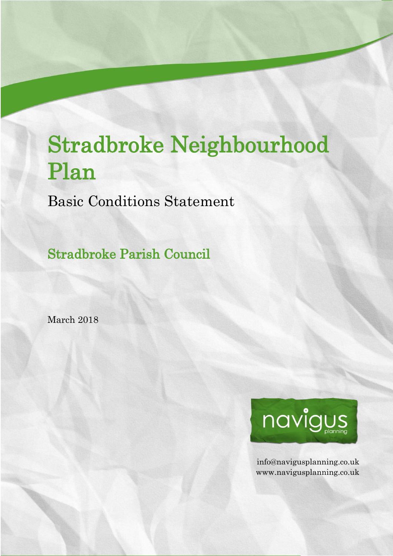# Stradbroke Neighbourhood Plan

Basic Conditions Statement

Stradbroke Parish Council

March 2018



info@navigusplanning.co.uk www.navigusplanning.co.uk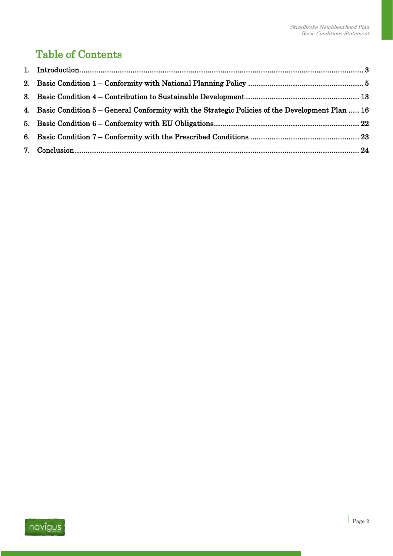# Table of Contents

| 4. Basic Condition 5 – General Conformity with the Strategic Policies of the Development Plan  16 |  |
|---------------------------------------------------------------------------------------------------|--|
|                                                                                                   |  |
|                                                                                                   |  |
|                                                                                                   |  |

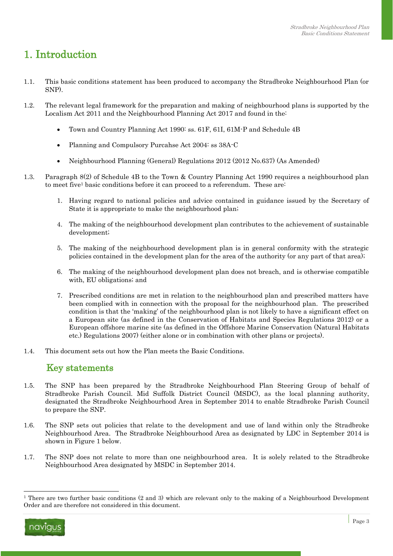### <span id="page-2-0"></span>1. Introduction

- 1.1. This basic conditions statement has been produced to accompany the Stradbroke Neighbourhood Plan (or SNP).
- 1.2. The relevant legal framework for the preparation and making of neighbourhood plans is supported by the Localism Act 2011 and the Neighbourhood Planning Act 2017 and found in the:
	- Town and Country Planning Act 1990: ss. 61F, 61I, 61M-P and Schedule 4B
	- Planning and Compulsory Purcahse Act 2004: ss 38A-C
	- Neighbourhood Planning (General) Regulations 2012 (2012 No.637) (As Amended)
- 1.3. Paragraph 8(2) of Schedule 4B to the Town & Country Planning Act 1990 requires a neighbourhood plan to meet five<sup>1</sup> basic conditions before it can proceed to a referendum. These are:
	- 1. Having regard to national policies and advice contained in guidance issued by the Secretary of State it is appropriate to make the neighbourhood plan;
	- 4. The making of the neighbourhood development plan contributes to the achievement of sustainable development;
	- 5. The making of the neighbourhood development plan is in general conformity with the strategic policies contained in the development plan for the area of the authority (or any part of that area);
	- 6. The making of the neighbourhood development plan does not breach, and is otherwise compatible with, EU obligations; and
	- 7. Prescribed conditions are met in relation to the neighbourhood plan and prescribed matters have been complied with in connection with the proposal for the neighbourhood plan. The prescribed condition is that the 'making' of the neighbourhood plan is not likely to have a significant effect on a European site (as defined in the Conservation of Habitats and Species Regulations 2012) or a European offshore marine site (as defined in the Offshore Marine Conservation (Natural Habitats etc.) Regulations 2007) (either alone or in combination with other plans or projects).
- 1.4. This document sets out how the Plan meets the Basic Conditions.

#### Key statements

- 1.5. The SNP has been prepared by the Stradbroke Neighbourhood Plan Steering Group of behalf of Stradbroke Parish Council. Mid Suffolk District Council (MSDC), as the local planning authority, designated the Stradbroke Neighbourhood Area in September 2014 to enable Stradbroke Parish Council to prepare the SNP.
- 1.6. The SNP sets out policies that relate to the development and use of land within only the Stradbroke Neighbourhood Area. The Stradbroke Neighbourhood Area as designated by LDC in September 2014 is shown in Figure 1 below.
- 1.7. The SNP does not relate to more than one neighbourhood area. It is solely related to the Stradbroke Neighbourhood Area designated by MSDC in September 2014.

<sup>&</sup>lt;sup>1</sup> There are two further basic conditions (2 and 3) which are relevant only to the making of a Neighbourhood Development Order and are therefore not considered in this document.



-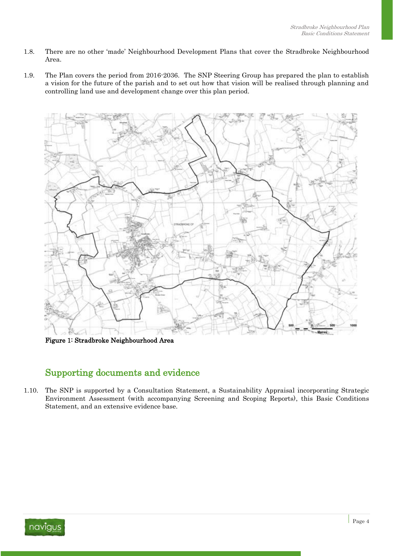- 1.8. There are no other 'made' Neighbourhood Development Plans that cover the Stradbroke Neighbourhood Area.
- 1.9. The Plan covers the period from 2016-2036. The SNP Steering Group has prepared the plan to establish a vision for the future of the parish and to set out how that vision will be realised through planning and controlling land use and development change over this plan period.



Figure 1: Stradbroke Neighbourhood Area

#### Supporting documents and evidence

1.10. The SNP is supported by a Consultation Statement, a Sustainability Appraisal incorporating Strategic Environment Assessment (with accompanying Screening and Scoping Reports), this Basic Conditions Statement, and an extensive evidence base.

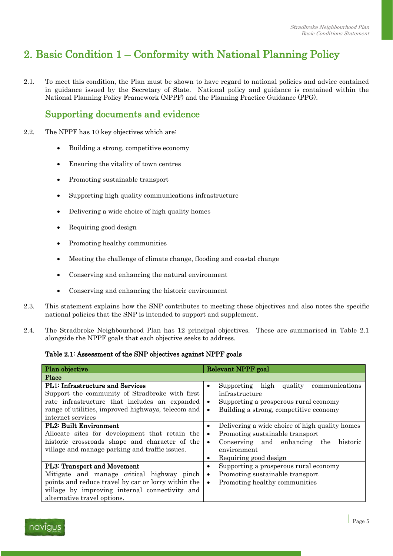## <span id="page-4-0"></span>2. Basic Condition 1 – Conformity with National Planning Policy

2.1. To meet this condition, the Plan must be shown to have regard to national policies and advice contained in guidance issued by the Secretary of State. National policy and guidance is contained within the National Planning Policy Framework (NPPF) and the Planning Practice Guidance (PPG).

#### Supporting documents and evidence

- 2.2. The NPPF has 10 key objectives which are:
	- Building a strong, competitive economy
	- Ensuring the vitality of town centres
	- Promoting sustainable transport
	- Supporting high quality communications infrastructure
	- Delivering a wide choice of high quality homes
	- Requiring good design
	- Promoting healthy communities
	- Meeting the challenge of climate change, flooding and coastal change
	- Conserving and enhancing the natural environment
	- Conserving and enhancing the historic environment
- 2.3. This statement explains how the SNP contributes to meeting these objectives and also notes the specific national policies that the SNP is intended to support and supplement.
- 2.4. The Stradbroke Neighbourhood Plan has 12 principal objectives. These are summarised in Table 2.1 alongside the NPPF goals that each objective seeks to address.

#### Table 2.1: Assessment of the SNP objectives against NPPF goals

| Plan objective                                                                                                                                                                                                           | Relevant NPPF goal                                                                                                                                                                                                   |
|--------------------------------------------------------------------------------------------------------------------------------------------------------------------------------------------------------------------------|----------------------------------------------------------------------------------------------------------------------------------------------------------------------------------------------------------------------|
| Place                                                                                                                                                                                                                    |                                                                                                                                                                                                                      |
| <b>PL1: Infrastructure and Services</b><br>Support the community of Stradbroke with first<br>rate infrastructure that includes an expanded<br>range of utilities, improved highways, telecom and<br>internet services    | quality<br>high<br>Supporting<br>communications<br>٠<br>infrastructure<br>Supporting a prosperous rural economy<br>$\bullet$<br>Building a strong, competitive economy<br>$\bullet$                                  |
| <b>PL2: Built Environment</b><br>Allocate sites for development that retain the<br>historic crossroads shape and character of the<br>village and manage parking and traffic issues.                                      | Delivering a wide choice of high quality homes<br>$\bullet$<br>Promoting sustainable transport<br>$\bullet$<br>Conserving and enhancing<br>the<br>historic<br>$\bullet$<br>environment<br>Requiring good design<br>٠ |
| <b>PL3: Transport and Movement</b><br>Mitigate and manage critical highway pinch<br>points and reduce travel by car or lorry within the<br>village by improving internal connectivity and<br>alternative travel options. | Supporting a prosperous rural economy<br>٠<br>Promoting sustainable transport<br>$\bullet$<br>Promoting healthy communities<br>$\bullet$                                                                             |

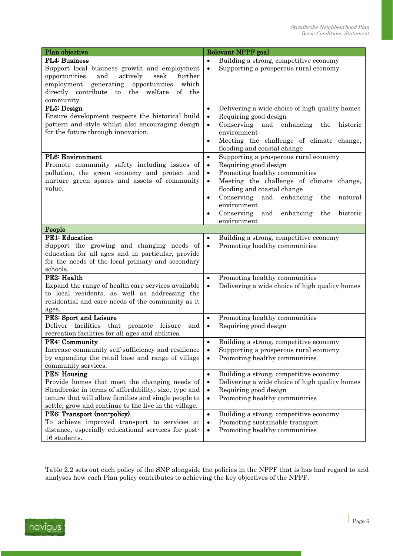| Plan objective                                           | <b>Relevant NPPF</b> goal                                      |
|----------------------------------------------------------|----------------------------------------------------------------|
| PL4: Business                                            | Building a strong, competitive economy<br>$\bullet$            |
| Support local business growth and employment             | Supporting a prosperous rural economy<br>$\bullet$             |
| and<br>actively<br>seek<br>further<br>opportunities      |                                                                |
| employment<br>generating opportunities<br>which          |                                                                |
| directly contribute to the welfare<br>of the             |                                                                |
| community.                                               |                                                                |
| PL5: Design                                              | Delivering a wide choice of high quality homes<br>$\bullet$    |
| Ensure development respects the historical build         | Requiring good design<br>$\bullet$                             |
| pattern and style whilst also encouraging design         | Conserving and enhancing<br>the<br>$\bullet$<br>historic       |
| for the future through innovation.                       | environment                                                    |
|                                                          | Meeting the challenge of climate change,<br>$\bullet$          |
|                                                          | flooding and coastal change                                    |
| PL6: Environment                                         | Supporting a prosperous rural economy<br>$\bullet$             |
| Promote community safety including issues of             | Requiring good design<br>$\bullet$                             |
| pollution, the green economy and protect and             | Promoting healthy communities<br>$\bullet$                     |
| nurture green spaces and assets of community             | Meeting the challenge of climate change,<br>$\bullet$          |
| value.                                                   | flooding and coastal change                                    |
|                                                          | Conserving<br>and<br>enhancing<br>the<br>natural<br>$\bullet$  |
|                                                          | environment                                                    |
|                                                          | Conserving<br>and<br>enhancing<br>historic<br>the<br>$\bullet$ |
|                                                          | environment                                                    |
| People                                                   |                                                                |
| <b>PE1: Education</b>                                    | Building a strong, competitive economy<br>$\bullet$            |
| Support the growing and changing needs of                | Promoting healthy communities<br>$\bullet$                     |
| education for all ages and in particular, provide        |                                                                |
| for the needs of the local primary and secondary         |                                                                |
| schools.                                                 |                                                                |
| PE2: Health                                              | Promoting healthy communities<br>$\bullet$                     |
| Expand the range of health care services available       | Delivering a wide choice of high quality homes<br>$\bullet$    |
| to local residents, as well as addressing the            |                                                                |
| residential and care needs of the community as it        |                                                                |
| ages.<br>PE3: Sport and Leisure                          | Promoting healthy communities                                  |
| Deliver facilities that promote leisure                  | $\bullet$                                                      |
| and<br>recreation facilities for all ages and abilities. | Requiring good design<br>$\bullet$                             |
| PE4: Community                                           | Building a strong, competitive economy                         |
| Increase community self-sufficiency and resilience       | Supporting a prosperous rural economy<br>$\bullet$             |
| by expanding the retail base and range of village        | Promoting healthy communities<br>$\bullet$                     |
| community services.                                      |                                                                |
| PE5: Housing                                             | $\bullet$<br>Building a strong, competitive economy            |
| Provide homes that meet the changing needs of            | Delivering a wide choice of high quality homes<br>$\bullet$    |
| Stradbroke in terms of affordability, size, type and     | Requiring good design<br>$\bullet$                             |
| tenure that will allow families and single people to     | Promoting healthy communities<br>$\bullet$                     |
| settle, grow and continue to the live in the village.    |                                                                |
| PE6: Transport (non-policy)                              | Building a strong, competitive economy<br>$\bullet$            |
| To achieve improved transport to services at             | Promoting sustainable transport<br>$\bullet$                   |
| distance, especially educational services for post-      | Promoting healthy communities<br>$\bullet$                     |
| 16 students.                                             |                                                                |

Table 2.2 sets out each policy of the SNP alongside the policies in the NPPF that is has had regard to and analyses how each Plan policy contributes to achieving the key objectives of the NPPF.

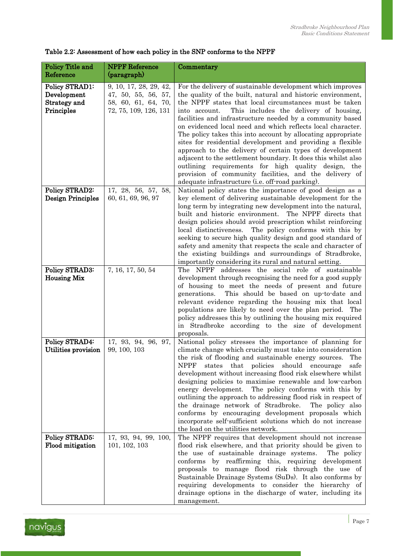| Policy Title and<br>Reference                                      | <b>NPPF</b> Reference<br>(paragraph)                                                          | Commentary                                                                                                                                                                                                                                                                                                                                                                                                                                                                                                                                                                                                                                                                                                                                                                                                 |
|--------------------------------------------------------------------|-----------------------------------------------------------------------------------------------|------------------------------------------------------------------------------------------------------------------------------------------------------------------------------------------------------------------------------------------------------------------------------------------------------------------------------------------------------------------------------------------------------------------------------------------------------------------------------------------------------------------------------------------------------------------------------------------------------------------------------------------------------------------------------------------------------------------------------------------------------------------------------------------------------------|
| <b>Policy STRAD1:</b><br>Development<br>Strategy and<br>Principles | 9, 10, 17, 28, 29, 42,<br>47, 50, 55, 56, 57,<br>58, 60, 61, 64, 70,<br>72, 75, 109, 126, 131 | For the delivery of sustainable development which improves<br>the quality of the built, natural and historic environment,<br>the NPPF states that local circumstances must be taken<br>This includes the delivery of housing,<br>into account.<br>facilities and infrastructure needed by a community based<br>on evidenced local need and which reflects local character.<br>The policy takes this into account by allocating appropriate<br>sites for residential development and providing a flexible<br>approach to the delivery of certain types of development<br>adjacent to the settlement boundary. It does this whilst also<br>outlining requirements for high quality design, the<br>provision of community facilities, and the delivery of<br>adequate infrastructure (i.e. off-road parking). |
| <b>Policy STRAD2:</b><br><b>Design Principles</b>                  | 17, 28, 56, 57, 58,<br>60, 61, 69, 96, 97                                                     | National policy states the importance of good design as a<br>key element of delivering sustainable development for the<br>long term by integrating new development into the natural,<br>built and historic environment. The NPPF directs that<br>design policies should avoid prescription whilst reinforcing<br>local distinctiveness. The policy conforms with this by<br>seeking to secure high quality design and good standard of<br>safety and amenity that respects the scale and character of<br>the existing buildings and surroundings of Stradbroke,<br>importantly considering its rural and natural setting.                                                                                                                                                                                  |
| <b>Policy STRAD3:</b><br><b>Housing Mix</b>                        | 7, 16, 17, 50, 54                                                                             | The NPPF addresses the social role of sustainable<br>development through recognising the need for a good supply<br>of housing to meet the needs of present and future<br>This should be based on up-to-date and<br>generations.<br>relevant evidence regarding the housing mix that local<br>populations are likely to need over the plan period. The<br>policy addresses this by outlining the housing mix required<br>in Stradbroke according to the size of development<br>proposals.                                                                                                                                                                                                                                                                                                                   |
| <b>Policy STRAD4:</b><br>Utilities provision                       | 17, 93, 94, 96, 97,<br>99, 100, 103                                                           | National policy stresses the importance of planning for<br>climate change which crucially must take into consideration<br>the risk of flooding and sustainable energy sources.<br>The<br><b>NPPF</b><br>that<br>policies<br>should<br>states<br>safe<br>encourage<br>development without increasing flood risk elsewhere whilst<br>designing policies to maximise renewable and low-carbon<br>The policy conforms with this by<br>energy development.<br>outlining the approach to addressing flood risk in respect of<br>the drainage network of Stradbroke.<br>The policy also<br>conforms by encouraging development proposals which<br>incorporate self-sufficient solutions which do not increase<br>the load on the utilities network.                                                               |
| Policy STRAD5:<br>Flood mitigation                                 | 17, 93, 94, 99, 100,<br>101, 102, 103                                                         | The NPPF requires that development should not increase<br>flood risk elsewhere, and that priority should be given to<br>the use of sustainable drainage systems.<br>The policy<br>conforms by reaffirming this, requiring development<br>proposals to manage flood risk through the use of<br>Sustainable Drainage Systems (SuDs). It also conforms by<br>requiring developments to consider the hierarchy of<br>drainage options in the discharge of water, including its<br>management.                                                                                                                                                                                                                                                                                                                  |

| Table 2.2: Assessment of how each policy in the SNP conforms to the NPPF |  |  |  |  |
|--------------------------------------------------------------------------|--|--|--|--|
|--------------------------------------------------------------------------|--|--|--|--|

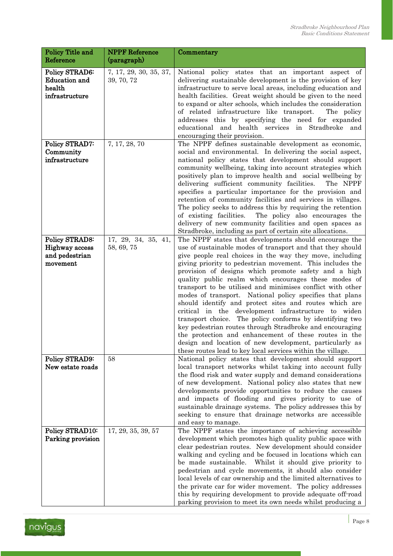| Policy Title and                                                   | <b>NPPF</b> Reference                | Commentary                                                                                                                                                                                                                                                                                                                                                                                                                                                                                                                                                                                                                                                         |
|--------------------------------------------------------------------|--------------------------------------|--------------------------------------------------------------------------------------------------------------------------------------------------------------------------------------------------------------------------------------------------------------------------------------------------------------------------------------------------------------------------------------------------------------------------------------------------------------------------------------------------------------------------------------------------------------------------------------------------------------------------------------------------------------------|
| Reference                                                          | (paragraph)                          |                                                                                                                                                                                                                                                                                                                                                                                                                                                                                                                                                                                                                                                                    |
| Policy STRAD6:<br><b>Education and</b><br>health<br>infrastructure | 7, 17, 29, 30, 35, 37,<br>39, 70, 72 | National policy states that an important aspect of<br>delivering sustainable development is the provision of key<br>infrastructure to serve local areas, including education and<br>health facilities. Great weight should be given to the need<br>to expand or alter schools, which includes the consideration<br>of related infrastructure like transport.<br>The policy<br>addresses this by specifying the need for expanded<br>educational and health services in Stradbroke<br>and<br>encouraging their provision.                                                                                                                                           |
| <b>Policy STRAD7:</b>                                              | 7, 17, 28, 70                        | The NPPF defines sustainable development as economic,                                                                                                                                                                                                                                                                                                                                                                                                                                                                                                                                                                                                              |
| Community                                                          |                                      | social and environmental. In delivering the social aspect,                                                                                                                                                                                                                                                                                                                                                                                                                                                                                                                                                                                                         |
| infrastructure                                                     |                                      | national policy states that development should support<br>community wellbeing, taking into account strategies which<br>positively plan to improve health and social wellbeing by<br>delivering sufficient community facilities.<br>The NPPF<br>specifies a particular importance for the provision and<br>retention of community facilities and services in villages.<br>The policy seeks to address this by requiring the retention<br>of existing facilities. The policy also encourages the<br>delivery of new community facilities and open spaces as<br>Stradbroke, including as part of certain site allocations.                                            |
| <b>Policy STRAD8:</b>                                              | 17, 29, 34, 35, 41,                  | The NPPF states that developments should encourage the                                                                                                                                                                                                                                                                                                                                                                                                                                                                                                                                                                                                             |
| <b>Highway</b> access                                              | 58, 69, 75                           | use of sustainable modes of transport and that they should                                                                                                                                                                                                                                                                                                                                                                                                                                                                                                                                                                                                         |
| and pedestrian<br>movement                                         |                                      | give people real choices in the way they move, including<br>giving priority to pedestrian movement. This includes the                                                                                                                                                                                                                                                                                                                                                                                                                                                                                                                                              |
|                                                                    |                                      | provision of designs which promote safety and a high<br>quality public realm which encourages these modes of<br>transport to be utilised and minimises conflict with other<br>modes of transport. National policy specifies that plans<br>should identify and protect sites and routes which are<br>critical in the development infrastructure to widen<br>transport choice. The policy conforms by identifying two<br>key pedestrian routes through Stradbroke and encouraging<br>the protection and enhancement of these routes in the<br>design and location of new development, particularly as<br>these routes lead to key local services within the village. |
| Policy STRAD9:<br>New estate roads                                 | 58                                   | National policy states that development should support<br>local transport networks whilst taking into account fully<br>the flood risk and water supply and demand considerations<br>of new development. National policy also states that new                                                                                                                                                                                                                                                                                                                                                                                                                       |
|                                                                    |                                      | developments provide opportunities to reduce the causes<br>and impacts of flooding and gives priority to use of                                                                                                                                                                                                                                                                                                                                                                                                                                                                                                                                                    |
|                                                                    |                                      | sustainable drainage systems. The policy addresses this by<br>seeking to ensure that drainage networks are accessible<br>and easy to manage.                                                                                                                                                                                                                                                                                                                                                                                                                                                                                                                       |
| Policy STRAD10:                                                    | 17, 29, 35, 39, 57                   | The NPPF states the importance of achieving accessible                                                                                                                                                                                                                                                                                                                                                                                                                                                                                                                                                                                                             |
| Parking provision                                                  |                                      | development which promotes high quality public space with<br>clear pedestrian routes. New development should consider<br>walking and cycling and be focused in locations which can<br>be made sustainable. Whilst it should give priority to<br>pedestrian and cycle movements, it should also consider<br>local levels of car ownership and the limited alternatives to<br>the private car for wider movement. The policy addresses<br>this by requiring development to provide adequate off-road<br>parking provision to meet its own needs whilst producing a                                                                                                   |

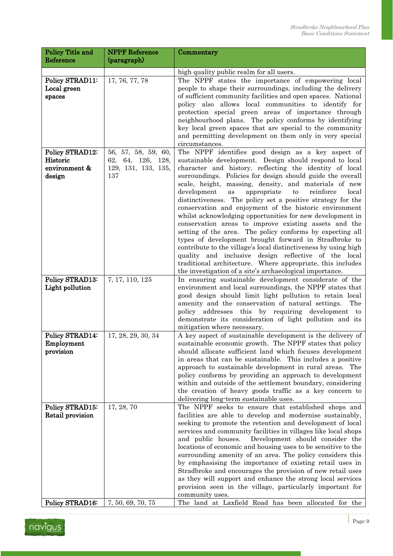| Policy Title and                                       | <b>NPPF</b> Reference                                                  | Commentary                                                                                                                                                                                                                                                                                                                                                                                                                                                                                                                                                                                                                                                                                                                                                                                                                                                      |
|--------------------------------------------------------|------------------------------------------------------------------------|-----------------------------------------------------------------------------------------------------------------------------------------------------------------------------------------------------------------------------------------------------------------------------------------------------------------------------------------------------------------------------------------------------------------------------------------------------------------------------------------------------------------------------------------------------------------------------------------------------------------------------------------------------------------------------------------------------------------------------------------------------------------------------------------------------------------------------------------------------------------|
| Reference                                              | (paragraph)                                                            |                                                                                                                                                                                                                                                                                                                                                                                                                                                                                                                                                                                                                                                                                                                                                                                                                                                                 |
|                                                        |                                                                        | high quality public realm for all users.                                                                                                                                                                                                                                                                                                                                                                                                                                                                                                                                                                                                                                                                                                                                                                                                                        |
| Policy STRAD11:<br>Local green<br>spaces               | 17, 76, 77, 78                                                         | The NPPF states the importance of empowering local<br>people to shape their surroundings, including the delivery<br>of sufficient community facilities and open spaces. National<br>policy also allows local communities to identify for<br>protection special green areas of importance through<br>neighbourhood plans. The policy conforms by identifying<br>key local green spaces that are special to the community<br>and permitting development on them only in very special<br>circumstances.                                                                                                                                                                                                                                                                                                                                                            |
| Policy STRAD12:<br>Historic<br>environment &<br>design | 56, 57, 58, 59, 60,<br>62, 64, 126, 128,<br>129, 131, 133, 135,<br>137 | The NPPF identifies good design as a key aspect of<br>sustainable development. Design should respond to local<br>character and history, reflecting the identity of local<br>surroundings. Policies for design should guide the overall<br>scale, height, massing, density, and materials of new<br>development<br>reinforce<br>appropriate<br>to<br>local<br>as<br>distinctiveness. The policy set a positive strategy for the<br>conservation and enjoyment of the historic environment<br>whilst acknowledging opportunities for new development in<br>conservation areas to improve existing assets and the<br>setting of the area. The policy conforms by expecting all<br>types of development brought forward in Stradbroke to<br>contribute to the village's local distinctiveness by using high<br>quality and inclusive design reflective of the local |
|                                                        |                                                                        | traditional architecture. Where appropriate, this includes<br>the investigation of a site's archaeological importance.                                                                                                                                                                                                                                                                                                                                                                                                                                                                                                                                                                                                                                                                                                                                          |
| Policy STRAD13:<br>Light pollution                     | 7, 17, 110, 125                                                        | In ensuring sustainable development considerate of the<br>environment and local surroundings, the NPPF states that<br>good design should limit light pollution to retain local<br>amenity and the conservation of natural settings.<br>The<br>policy addresses this by requiring development to<br>demonstrate its consideration of light pollution and its<br>mitigation where necessary.                                                                                                                                                                                                                                                                                                                                                                                                                                                                      |
| Policy STRAD14:<br>Employment<br>provision             | 17, 28, 29, 30, 34                                                     | A key aspect of sustainable development is the delivery of<br>sustainable economic growth. The NPPF states that policy<br>should allocate sufficient land which focuses development<br>in areas that can be sustainable. This includes a positive<br>approach to sustainable development in rural areas. The<br>policy conforms by providing an approach to development<br>within and outside of the settlement boundary, considering<br>the creation of heavy goods traffic as a key concern to<br>delivering long-term sustainable uses.                                                                                                                                                                                                                                                                                                                      |
| Policy STRAD15:<br>Retail provision                    | 17, 28, 70                                                             | The NPPF seeks to ensure that established shops and<br>facilities are able to develop and modernise sustainably,<br>seeking to promote the retention and development of local<br>services and community facilities in villages like local shops<br>and public houses.<br>Development should consider the<br>locations of economic and housing uses to be sensitive to the<br>surrounding amenity of an area. The policy considers this<br>by emphasising the importance of existing retail uses in<br>Stradbroke and encourages the provision of new retail uses<br>as they will support and enhance the strong local services<br>provision seen in the village, particularly important for<br>community uses.                                                                                                                                                  |
| Policy STRAD16:                                        | 7, 50, 69, 70, 75                                                      | The land at Laxfield Road has been allocated for the                                                                                                                                                                                                                                                                                                                                                                                                                                                                                                                                                                                                                                                                                                                                                                                                            |

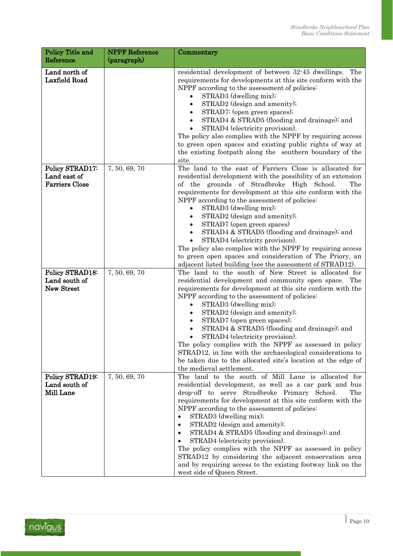| Policy Title and<br>Reference                            | <b>NPPF Reference</b><br>(paragraph) | Commentary                                                                                                                                                                                                                                                                                                                                                                                                                                                                                                                                                                                                                                                                  |
|----------------------------------------------------------|--------------------------------------|-----------------------------------------------------------------------------------------------------------------------------------------------------------------------------------------------------------------------------------------------------------------------------------------------------------------------------------------------------------------------------------------------------------------------------------------------------------------------------------------------------------------------------------------------------------------------------------------------------------------------------------------------------------------------------|
| Land north of<br>Laxfield Road                           |                                      | residential development of between 32-45 dwellings. The<br>requirements for developments at this site conform with the<br>NPPF according to the assessment of policies:<br>STRAD3 (dwelling mix);<br>$\bullet$<br>STRAD2 (design and amenity);<br>STRAD7: (open green spaces);<br>STRAD4 & STRAD5 (flooding and drainage); and<br>STRAD4 (electricity provision).<br>The policy also complies with the NPPF by requiring access<br>to green open spaces and existing public rights of way at<br>the existing footpath along the southern boundary of the<br>site.                                                                                                           |
| Policy STRAD17:<br>Land east of<br><b>Farriers Close</b> | 7, 50, 69, 70                        | The land to the east of Farriers Close is allocated for<br>residential development with the possibility of an extension<br>of the grounds of Stradbroke High School.<br>The<br>requirements for development at this site conform with the<br>NPPF according to the assessment of policies:<br>STRAD3 (dwelling mix);<br>STRAD2 (design and amenity);<br>STRAD7 (open green spaces)<br>STRAD4 & STRAD5 (flooding and drainage); and<br>STRAD4 (electricity provision).<br>The policy also complies with the NPPF by requiring access<br>to green open spaces and consideration of The Priory, an<br>adjacent listed building (see the assessment of STRAD12).                |
| <b>Policy STRAD18:</b><br>Land south of<br>New Street    | 7, 50, 69, 70                        | The land to the south of New Street is allocated for<br>residential development and community open space. The<br>requirements for development at this site conform with the<br>NPPF according to the assessment of policies:<br>STRAD3 (dwelling mix);<br>STRAD2 (design and amenity);<br>STRAD7 (open green spaces);<br>STRAD4 & STRAD5 (flooding and drainage); and<br>STRAD4 (electricity provision).<br>The policy complies with the NPPF as assessed in policy<br>STRAD12, in line with the archaeological considerations to<br>be taken due to the allocated site's location at the edge of<br>the medieval settlement.                                               |
| Policy STRAD19:<br>Land south of<br>Mill Lane            | 7, 50, 69, 70                        | The land to the south of Mill Lane is allocated for<br>residential development, as well as a car park and bus<br>drop-off to serve Stradbroke Primary School.<br>The<br>requirements for development at this site conform with the<br>NPPF according to the assessment of policies:<br>STRAD3 (dwelling mix);<br>$\bullet$<br>STRAD2 (design and amenity);<br>$\bullet$<br>STRAD4 & STRAD5 (flooding and drainage); and<br>STRAD4 (electricity provision).<br>The policy complies with the NPPF as assessed in policy<br>STRAD12 by considering the adjacent conservation area<br>and by requiring access to the existing footway link on the<br>west side of Queen Street. |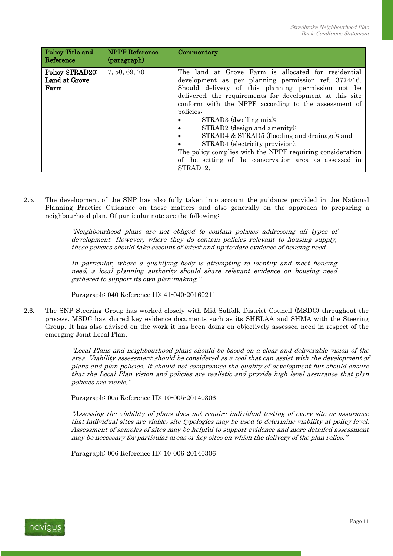| <b>Policy Title and</b><br>Reference     | <b>NPPF</b> Reference<br>(paragraph) | Commentary                                                                                                                                                                                                                                                                                                                                                                                                                                                                                                                                                                                      |
|------------------------------------------|--------------------------------------|-------------------------------------------------------------------------------------------------------------------------------------------------------------------------------------------------------------------------------------------------------------------------------------------------------------------------------------------------------------------------------------------------------------------------------------------------------------------------------------------------------------------------------------------------------------------------------------------------|
| Policy STRAD20:<br>Land at Grove<br>Farm | 7, 50, 69, 70                        | The land at Grove Farm is allocated for residential<br>development as per planning permission ref. 3774/16.<br>Should delivery of this planning permission not be<br>delivered, the requirements for development at this site<br>conform with the NPPF according to the assessment of<br>policies:<br>STRAD3 (dwelling mix);<br>STRAD2 (design and amenity);<br>$\bullet$<br>STRAD4 & STRAD5 (flooding and drainage); and<br>STRAD4 (electricity provision).<br>The policy complies with the NPPF requiring consideration<br>of the setting of the conservation area as assessed in<br>STRAD12. |

2.5. The development of the SNP has also fully taken into account the guidance provided in the National Planning Practice Guidance on these matters and also generally on the approach to preparing a neighbourhood plan. Of particular note are the following:

> "Neighbourhood plans are not obliged to contain policies addressing all types of development. However, where they do contain policies relevant to housing supply, these policies should take account of latest and up-to-date evidence of housing need.

> In particular, where a qualifying body is attempting to identify and meet housing need, a local planning authority should share relevant evidence on housing need gathered to support its own plan-making."

Paragraph: 040 Reference ID: 41-040-20160211

2.6. The SNP Steering Group has worked closely with Mid Suffolk District Council (MSDC) throughout the process. MSDC has shared key evidence documents such as its SHELAA and SHMA with the Steering Group. It has also advised on the work it has been doing on objectively assessed need in respect of the emerging Joint Local Plan.

> "Local Plans and neighbourhood plans should be based on a clear and deliverable vision of the area. Viability assessment should be considered as a tool that can assist with the development of plans and plan policies. It should not compromise the quality of development but should ensure that the Local Plan vision and policies are realistic and provide high level assurance that plan policies are viable."

Paragraph: 005 Reference ID: 10-005-20140306

"Assessing the viability of plans does not require individual testing of every site or assurance that individual sites are viable; site typologies may be used to determine viability at policy level. Assessment of samples of sites may be helpful to support evidence and more detailed assessment may be necessary for particular areas or key sites on which the delivery of the plan relies."

Paragraph: 006 Reference ID: 10-006-20140306

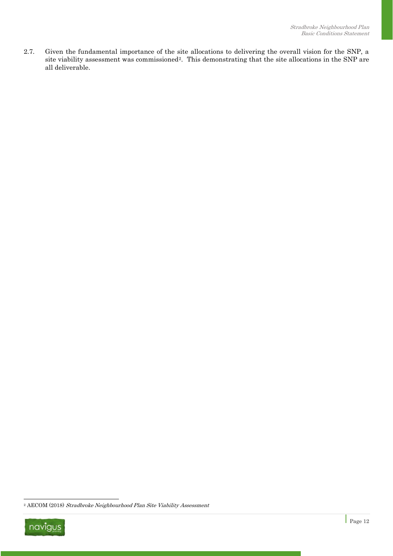2.7. Given the fundamental importance of the site allocations to delivering the overall vision for the SNP, a site viability assessment was commissioned2. This demonstrating that the site allocations in the SNP are all deliverable.

<sup>2</sup> AECOM (2018) Stradbroke Neighbourhood Plan Site Viability Assessment



 $\overline{a}$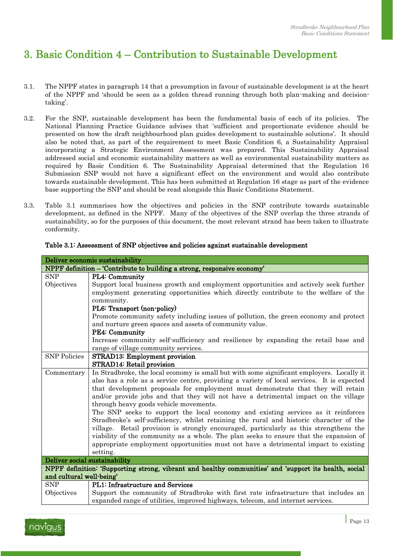## <span id="page-12-0"></span>3. Basic Condition 4 – Contribution to Sustainable Development

- 3.1. The NPPF states in paragraph 14 that a presumption in favour of sustainable development is at the heart of the NPPF and 'should be seen as a golden thread running through both plan-making and decisiontaking'.
- 3.2. For the SNP, sustainable development has been the fundamental basis of each of its policies. The National Planning Practice Guidance advises that 'sufficient and proportionate evidence should be presented on how the draft neighbourhood plan guides development to sustainable solutions'. It should also be noted that, as part of the requirement to meet Basic Condition 6, a Sustainability Appraisal incorporating a Strategic Environment Assessment was prepared. This Sustainability Appraisal addressed social and economic sustainability matters as well as environmental sustainability matters as required by Basic Condition 6. The Sustainability Appraisal determined that the Regulation 16 Submission SNP would not have a significant effect on the environment and would also contribute towards sustainable development. This has been submitted at Regulation 16 stage as part of the evidence base supporting the SNP and should be read alongside this Basic Conditions Statement.
- 3.3. Table 3.1 summarises how the objectives and policies in the SNP contribute towards sustainable development, as defined in the NPPF. Many of the objectives of the SNP overlap the three strands of sustainability, so for the purposes of this document, the most relevant strand has been taken to illustrate conformity.

| Deliver economic sustainability                                                                       |                                                                                            |  |  |
|-------------------------------------------------------------------------------------------------------|--------------------------------------------------------------------------------------------|--|--|
|                                                                                                       | NPPF definition - 'Contribute to building a strong, responsive economy'                    |  |  |
| SNP                                                                                                   | PL4: Community                                                                             |  |  |
| Objectives                                                                                            | Support local business growth and employment opportunities and actively seek further       |  |  |
|                                                                                                       | employment generating opportunities which directly contribute to the welfare of the        |  |  |
|                                                                                                       | community.                                                                                 |  |  |
|                                                                                                       | PL6: Transport (non-policy)                                                                |  |  |
|                                                                                                       | Promote community safety including issues of pollution, the green economy and protect      |  |  |
|                                                                                                       | and nurture green spaces and assets of community value.                                    |  |  |
|                                                                                                       | PE4: Community                                                                             |  |  |
|                                                                                                       | Increase community self-sufficiency and resilience by expanding the retail base and        |  |  |
|                                                                                                       | range of village community services.                                                       |  |  |
| <b>SNP Policies</b>                                                                                   | STRAD13: Employment provision                                                              |  |  |
|                                                                                                       | STRAD14: Retail provision                                                                  |  |  |
| Commentary                                                                                            | In Stradbroke, the local economy is small but with some significant employers. Locally it  |  |  |
|                                                                                                       | also has a role as a service centre, providing a variety of local services. It is expected |  |  |
|                                                                                                       | that development proposals for employment must demonstrate that they will retain           |  |  |
|                                                                                                       | and/or provide jobs and that they will not have a detrimental impact on the village        |  |  |
|                                                                                                       | through heavy goods vehicle movements.                                                     |  |  |
|                                                                                                       | The SNP seeks to support the local economy and existing services as it reinforces          |  |  |
|                                                                                                       | Stradbroke's self-sufficiency, whilst retaining the rural and historic character of the    |  |  |
|                                                                                                       | village. Retail provision is strongly encouraged, particularly as this strengthens the     |  |  |
|                                                                                                       | viability of the community as a whole. The plan seeks to ensure that the expansion of      |  |  |
|                                                                                                       | appropriate employment opportunities must not have a detrimental impact to existing        |  |  |
|                                                                                                       | setting.                                                                                   |  |  |
|                                                                                                       | Deliver social sustainability                                                              |  |  |
| NPPF definition: 'Supporting strong, vibrant and healthy communities' and 'support its health, social |                                                                                            |  |  |
| and cultural well-being'                                                                              |                                                                                            |  |  |
| <b>SNP</b>                                                                                            | PL1: Infrastructure and Services                                                           |  |  |
| Objectives                                                                                            | Support the community of Stradbroke with first rate infrastructure that includes an        |  |  |
|                                                                                                       | expanded range of utilities, improved highways, telecom, and internet services.            |  |  |

#### Table 3.1: Assessment of SNP objectives and policies against sustainable development

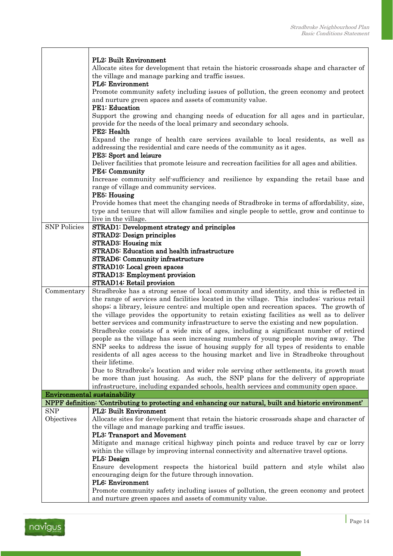|                     | <b>PL2: Built Environment</b>                                                                                                                                               |
|---------------------|-----------------------------------------------------------------------------------------------------------------------------------------------------------------------------|
|                     | Allocate sites for development that retain the historic crossroads shape and character of                                                                                   |
|                     | the village and manage parking and traffic issues.                                                                                                                          |
|                     | PL6: Environment                                                                                                                                                            |
|                     | Promote community safety including issues of pollution, the green economy and protect                                                                                       |
|                     | and nurture green spaces and assets of community value.                                                                                                                     |
|                     | <b>PE1: Education</b>                                                                                                                                                       |
|                     | Support the growing and changing needs of education for all ages and in particular,                                                                                         |
|                     | provide for the needs of the local primary and secondary schools.                                                                                                           |
|                     | PE2: Health                                                                                                                                                                 |
|                     | Expand the range of health care services available to local residents, as well as                                                                                           |
|                     | addressing the residential and care needs of the community as it ages.                                                                                                      |
|                     | PE3: Sport and leisure                                                                                                                                                      |
|                     | Deliver facilities that promote leisure and recreation facilities for all ages and abilities.                                                                               |
|                     | PE4: Community                                                                                                                                                              |
|                     | Increase community self-sufficiency and resilience by expanding the retail base and                                                                                         |
|                     | range of village and community services.                                                                                                                                    |
|                     | PE5: Housing                                                                                                                                                                |
|                     | Provide homes that meet the changing needs of Stradbroke in terms of affordability, size,                                                                                   |
|                     | type and tenure that will allow families and single people to settle, grow and continue to                                                                                  |
|                     | live in the village.                                                                                                                                                        |
| <b>SNP</b> Policies | STRAD1: Development strategy and principles                                                                                                                                 |
|                     | <b>STRAD2: Design principles</b>                                                                                                                                            |
|                     | <b>STRAD3: Housing mix</b>                                                                                                                                                  |
|                     | STRAD5: Education and health infrastructure                                                                                                                                 |
|                     | <b>STRAD6: Community infrastructure</b>                                                                                                                                     |
|                     | STRAD10: Local green spaces                                                                                                                                                 |
|                     | STRAD13: Employment provision                                                                                                                                               |
|                     | STRAD14: Retail provision                                                                                                                                                   |
| Commentary          | Stradbroke has a strong sense of local community and identity, and this is reflected in                                                                                     |
|                     | the range of services and facilities located in the village. This includes: various retail                                                                                  |
|                     | shops; a library, leisure centre; and multiple open and recreation spaces. The growth of                                                                                    |
|                     | the village provides the opportunity to retain existing facilities as well as to deliver                                                                                    |
|                     | better services and community infrastructure to serve the existing and new population.                                                                                      |
|                     | Stradbroke consists of a wide mix of ages, including a significant number of retired                                                                                        |
|                     | people as the village has seen increasing numbers of young people moving away. The                                                                                          |
|                     | SNP seeks to address the issue of housing supply for all types of residents to enable                                                                                       |
|                     | residents of all ages access to the housing market and live in Stradbroke throughout                                                                                        |
|                     | their lifetime.                                                                                                                                                             |
|                     | Due to Stradbroke's location and wider role serving other settlements, its growth must<br>be more than just housing. As such, the SNP plans for the delivery of appropriate |
|                     | infrastructure, including expanded schools, health services and community open space.                                                                                       |
|                     | <b>Environmental sustainability</b>                                                                                                                                         |
|                     | NPPF definition: 'Contributing to protecting and enhancing our natural, built and historic environment'                                                                     |
| <b>SNP</b>          | <b>PL2: Built Environment</b>                                                                                                                                               |
| Objectives          | Allocate sites for development that retain the historic crossroads shape and character of                                                                                   |
|                     | the village and manage parking and traffic issues.                                                                                                                          |
|                     | <b>PL3: Transport and Movement</b>                                                                                                                                          |
|                     | Mitigate and manage critical highway pinch points and reduce travel by car or lorry                                                                                         |
|                     | within the village by improving internal connectivity and alternative travel options.                                                                                       |
|                     | PL5: Design                                                                                                                                                                 |
|                     | Ensure development respects the historical build pattern and style whilst also                                                                                              |
|                     | encouraging deign for the future through innovation.                                                                                                                        |
|                     | PL6: Environment                                                                                                                                                            |
|                     | Promote community safety including issues of pollution, the green economy and protect                                                                                       |
|                     | and nurture green spaces and assets of community value.                                                                                                                     |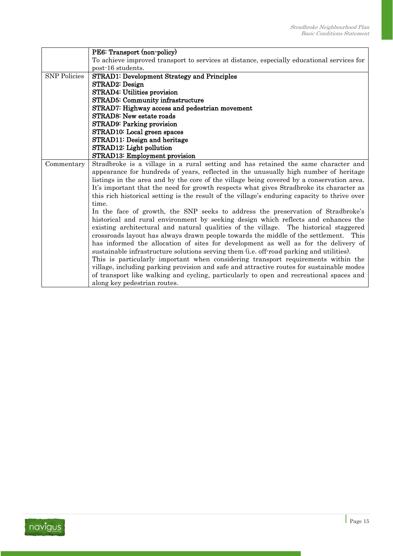|                     | PE6: Transport (non-policy)                                                                  |  |
|---------------------|----------------------------------------------------------------------------------------------|--|
|                     | To achieve improved transport to services at distance, especially educational services for   |  |
|                     | post-16 students.                                                                            |  |
| <b>SNP</b> Policies | <b>STRAD1: Development Strategy and Principles</b>                                           |  |
|                     | <b>STRAD2: Design</b>                                                                        |  |
|                     | <b>STRAD4: Utilities provision</b>                                                           |  |
|                     | STRAD5: Community infrastructure                                                             |  |
|                     | STRAD7: Highway access and pedestrian movement                                               |  |
|                     | <b>STRAD8: New estate roads</b>                                                              |  |
|                     | <b>STRAD9: Parking provision</b>                                                             |  |
|                     | STRAD10: Local green spaces                                                                  |  |
|                     | STRAD11: Design and heritage                                                                 |  |
|                     | STRAD12: Light pollution                                                                     |  |
|                     | STRAD13: Employment provision                                                                |  |
| Commentary          | Stradbroke is a village in a rural setting and has retained the same character and           |  |
|                     | appearance for hundreds of years, reflected in the unusually high number of heritage         |  |
|                     | listings in the area and by the core of the village being covered by a conservation area.    |  |
|                     | It's important that the need for growth respects what gives Stradbroke its character as      |  |
|                     | this rich historical setting is the result of the village's enduring capacity to thrive over |  |
|                     | time.                                                                                        |  |
|                     | In the face of growth, the SNP seeks to address the preservation of Stradbroke's             |  |
|                     | historical and rural environment by seeking design which reflects and enhances the           |  |
|                     | existing architectural and natural qualities of the village. The historical staggered        |  |
|                     | crossroads layout has always drawn people towards the middle of the settlement.<br>This      |  |
|                     | has informed the allocation of sites for development as well as for the delivery of          |  |
|                     | sustainable infrastructure solutions serving them (i.e. off-road parking and utilities).     |  |
|                     | This is particularly important when considering transport requirements within the            |  |
|                     | village, including parking provision and safe and attractive routes for sustainable modes    |  |
|                     | of transport like walking and cycling, particularly to open and recreational spaces and      |  |
|                     | along key pedestrian routes.                                                                 |  |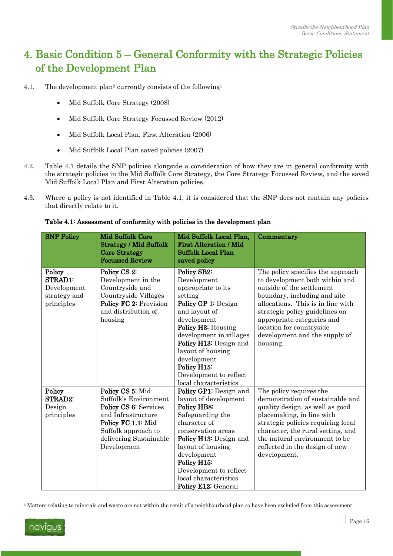### <span id="page-15-0"></span>4. Basic Condition 5 – General Conformity with the Strategic Policies of the Development Plan

- 4.1. The development plan<sup>3</sup> currently consists of the following:
	- Mid Suffolk Core Strategy (2008)
	- Mid Suffolk Core Strategy Focussed Review (2012)
	- Mid Suffolk Local Plan, First Alteration (2006)
	- Mid Suffolk Local Plan saved policies (2007)
- 4.2. Table 4.1 details the SNP policies alongside a consideration of how they are in general conformity with the strategic policies in the Mid Suffolk Core Strategy, the Core Strategy Focussed Review, and the saved Mid Suffolk Local Plan and First Alteration policies.
- 4.3. Where a policy is not identified in Table 4.1, it is considered that the SNP does not contain any policies that directly relate to it.

| <b>SNP Policy</b>                                                     | <b>Mid Suffolk Core</b><br><b>Strategy / Mid Suffolk</b><br><b>Core Strategy</b><br><b>Focussed Review</b>                                                                     | Mid Suffolk Local Plan,<br><b>First Alteration / Mid</b><br><b>Suffolk Local Plan</b><br>saved policy                                                                                                                                                                                               | Commentary                                                                                                                                                                                                                                                                                                     |
|-----------------------------------------------------------------------|--------------------------------------------------------------------------------------------------------------------------------------------------------------------------------|-----------------------------------------------------------------------------------------------------------------------------------------------------------------------------------------------------------------------------------------------------------------------------------------------------|----------------------------------------------------------------------------------------------------------------------------------------------------------------------------------------------------------------------------------------------------------------------------------------------------------------|
| Policy<br><b>STRAD1:</b><br>Development<br>strategy and<br>principles | Policy CS 2:<br>Development in the<br>Countryside and<br>Countryside Villages<br>Policy FC 2: Provision<br>and distribution of<br>housing                                      | Policy SB2:<br>Development<br>appropriate to its<br>setting<br>Policy GP 1: Design<br>and layout of<br>development<br>Policy H3: Housing<br>development in villages<br>Policy H13: Design and<br>layout of housing<br>development<br>Policy H15:<br>Development to reflect<br>local characteristics | The policy specifies the approach<br>to development both within and<br>outside of the settlement<br>boundary, including and site<br>allocations. This is in line with<br>strategic policy guidelines on<br>appropriate categories and<br>location for countryside<br>development and the supply of<br>housing. |
| Policy<br><b>STRAD2:</b><br>Design<br>principles                      | Policy CS 5: Mid<br>Suffolk's Environment<br>Policy CS 6: Services<br>and Infrastructure<br>Policy FC 1.1: Mid<br>Suffolk approach to<br>delivering Sustainable<br>Development | Policy GP1: Design and<br>layout of development<br><b>Policy HB8:</b><br>Safeguarding the<br>character of<br>conservation areas<br>Policy H13: Design and<br>layout of housing<br>development<br>Policy H15:<br>Development to reflect<br>local characteristics<br>Policy E12: General              | The policy requires the<br>demonstration of sustainable and<br>quality design, as well as good<br>placemaking, in line with<br>strategic policies requiring local<br>character, the rural setting, and<br>the natural environment to be<br>reflected in the design of new<br>development.                      |

#### Table 4.1: Assessment of conformity with policies in the development plan

<sup>3</sup> Matters relating to minerals and waste are not within the remit of a neighbourhood plan so have been excluded from this assessment



 $\overline{a}$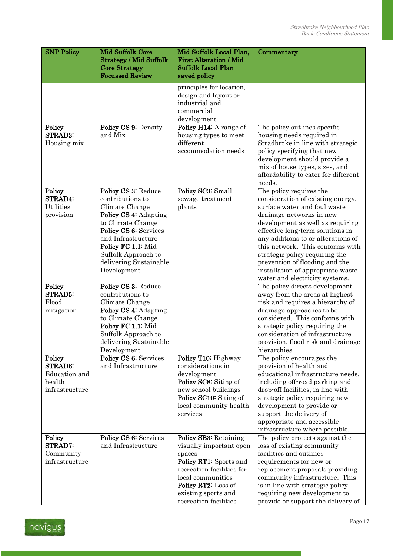| <b>SNP Policy</b>                                                     | <b>Mid Suffolk Core</b><br><b>Strategy / Mid Suffolk</b><br><b>Core Strategy</b><br><b>Focussed Review</b>                                                                                                                                   | Mid Suffolk Local Plan,<br><b>First Alteration / Mid</b><br><b>Suffolk Local Plan</b><br>saved policy                                                                                                         | Commentary                                                                                                                                                                                                                                                                                                                                                                                                            |
|-----------------------------------------------------------------------|----------------------------------------------------------------------------------------------------------------------------------------------------------------------------------------------------------------------------------------------|---------------------------------------------------------------------------------------------------------------------------------------------------------------------------------------------------------------|-----------------------------------------------------------------------------------------------------------------------------------------------------------------------------------------------------------------------------------------------------------------------------------------------------------------------------------------------------------------------------------------------------------------------|
|                                                                       |                                                                                                                                                                                                                                              | principles for location,<br>design and layout or<br>industrial and<br>commercial<br>development                                                                                                               |                                                                                                                                                                                                                                                                                                                                                                                                                       |
| Policy<br><b>STRAD3:</b><br>Housing mix                               | Policy CS 9: Density<br>and Mix                                                                                                                                                                                                              | Policy H14: A range of<br>housing types to meet<br>different<br>accommodation needs                                                                                                                           | The policy outlines specific<br>housing needs required in<br>Stradbroke in line with strategic<br>policy specifying that new<br>development should provide a<br>mix of house types, sizes, and<br>affordability to cater for different<br>needs.                                                                                                                                                                      |
| Policy<br>STRAD4:<br><b>Utilities</b><br>provision                    | Policy CS 3: Reduce<br>contributions to<br>Climate Change<br>Policy CS 4: Adapting<br>to Climate Change<br>Policy CS 6: Services<br>and Infrastructure<br>Policy FC 1.1: Mid<br>Suffolk Approach to<br>delivering Sustainable<br>Development | Policy SC3: Small<br>sewage treatment<br>plants                                                                                                                                                               | The policy requires the<br>consideration of existing energy,<br>surface water and foul waste<br>drainage networks in new<br>development as well as requiring<br>effective long-term solutions in<br>any additions to or alterations of<br>this network. This conforms with<br>strategic policy requiring the<br>prevention of flooding and the<br>installation of appropriate waste<br>water and electricity systems. |
| Policy<br><b>STRAD5:</b><br>Flood<br>mitigation                       | Policy CS 3: Reduce<br>contributions to<br>Climate Change<br>Policy CS 4: Adapting<br>to Climate Change<br>Policy FC 1.1: Mid<br>Suffolk Approach to<br>delivering Sustainable<br>Development                                                |                                                                                                                                                                                                               | The policy directs development<br>away from the areas at highest<br>risk and requires a hierarchy of<br>drainage approaches to be<br>considered. This conforms with<br>strategic policy requiring the<br>consideration of infrastructure<br>provision, flood risk and drainage<br>hierarchies.                                                                                                                        |
| Policy<br><b>STRAD6:</b><br>Education and<br>health<br>infrastructure | Policy CS 6: Services<br>and Infrastructure                                                                                                                                                                                                  | Policy T10: Highway<br>considerations in<br>development<br>Policy SC8: Siting of<br>new school buildings<br>Policy SC10: Siting of<br>local community health<br>services                                      | The policy encourages the<br>provision of health and<br>educational infrastructure needs,<br>including off-road parking and<br>drop-off facilities, in line with<br>strategic policy requiring new<br>development to provide or<br>support the delivery of<br>appropriate and accessible<br>infrastructure where possible.                                                                                            |
| Policy<br><b>STRAD7:</b><br>Community<br>infrastructure               | Policy CS 6: Services<br>and Infrastructure                                                                                                                                                                                                  | Policy SB3: Retaining<br>visually important open<br>spaces<br>Policy RT1: Sports and<br>recreation facilities for<br>local communities<br>Policy RT2: Loss of<br>existing sports and<br>recreation facilities | The policy protects against the<br>loss of existing community<br>facilities and outlines<br>requirements for new or<br>replacement proposals providing<br>community infrastructure. This<br>is in line with strategic policy<br>requiring new development to<br>provide or support the delivery of                                                                                                                    |

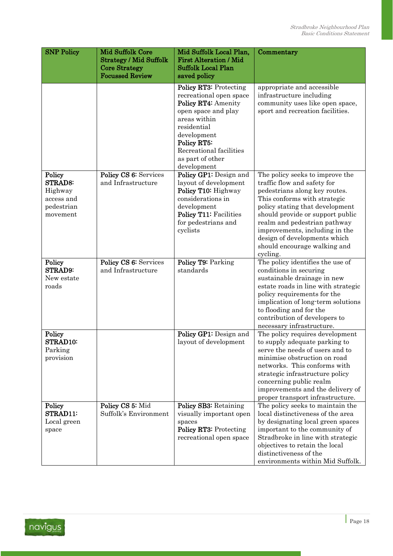| <b>SNP Policy</b>                                                           | <b>Mid Suffolk Core</b><br><b>Strategy / Mid Suffolk</b><br><b>Core Strategy</b><br><b>Focussed Review</b> | Mid Suffolk Local Plan,<br><b>First Alteration / Mid</b><br><b>Suffolk Local Plan</b><br>saved policy                                                                                                                      | Commentary                                                                                                                                                                                                                                                                                                                                           |
|-----------------------------------------------------------------------------|------------------------------------------------------------------------------------------------------------|----------------------------------------------------------------------------------------------------------------------------------------------------------------------------------------------------------------------------|------------------------------------------------------------------------------------------------------------------------------------------------------------------------------------------------------------------------------------------------------------------------------------------------------------------------------------------------------|
|                                                                             |                                                                                                            | Policy RT3: Protecting<br>recreational open space<br>Policy RT4: Amenity<br>open space and play<br>areas within<br>residential<br>development<br>Policy RT5:<br>Recreational facilities<br>as part of other<br>development | appropriate and accessible<br>infrastructure including<br>community uses like open space,<br>sport and recreation facilities.                                                                                                                                                                                                                        |
| Policy<br><b>STRAD8:</b><br>Highway<br>access and<br>pedestrian<br>movement | Policy CS 6: Services<br>and Infrastructure                                                                | Policy GP1: Design and<br>layout of development<br>Policy T10: Highway<br>considerations in<br>development<br>Policy T11: Facilities<br>for pedestrians and<br>cyclists                                                    | The policy seeks to improve the<br>traffic flow and safety for<br>pedestrians along key routes.<br>This conforms with strategic<br>policy stating that development<br>should provide or support public<br>realm and pedestrian pathway<br>improvements, including in the<br>design of developments which<br>should encourage walking and<br>cycling. |
| Policy<br><b>STRAD9:</b><br>New estate<br>roads                             | Policy CS 6: Services<br>and Infrastructure                                                                | Policy T9: Parking<br>standards                                                                                                                                                                                            | The policy identifies the use of<br>conditions in securing<br>sustainable drainage in new<br>estate roads in line with strategic<br>policy requirements for the<br>implication of long-term solutions<br>to flooding and for the<br>contribution of developers to<br>necessary infrastructure.                                                       |
| Policy<br>STRAD10:<br>Parking<br>provision                                  |                                                                                                            | Policy GP1: Design and<br>layout of development                                                                                                                                                                            | The policy requires development<br>to supply adequate parking to<br>serve the needs of users and to<br>minimise obstruction on road<br>networks. This conforms with<br>strategic infrastructure policy<br>concerning public realm<br>improvements and the delivery of<br>proper transport infrastructure.                                            |
| Policy<br>STRAD11:<br>Local green<br>space                                  | Policy CS 5: Mid<br>Suffolk's Environment                                                                  | Policy SB3: Retaining<br>visually important open<br>spaces<br>Policy RT3: Protecting<br>recreational open space                                                                                                            | The policy seeks to maintain the<br>local distinctiveness of the area<br>by designating local green spaces<br>important to the community of<br>Stradbroke in line with strategic<br>objectives to retain the local<br>distinctiveness of the<br>environments within Mid Suffolk.                                                                     |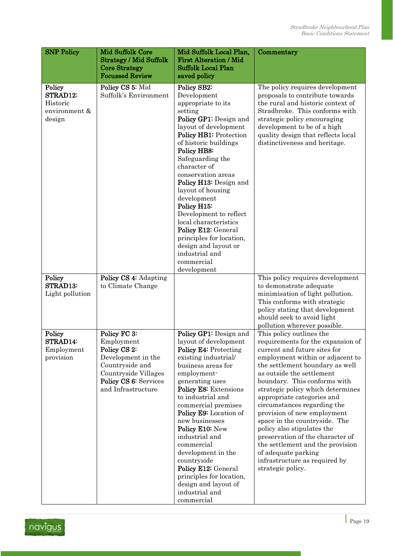| <b>SNP Policy</b>                                         | <b>Mid Suffolk Core</b><br><b>Strategy / Mid Suffolk</b><br><b>Core Strategy</b><br><b>Focussed Review</b>                                                 | Mid Suffolk Local Plan,<br><b>First Alteration / Mid</b><br><b>Suffolk Local Plan</b><br>saved policy                                                                                                                                                                                                                                                                                                                                                                                                | Commentary                                                                                                                                                                                                                                                                                                                                                                                                                                                                                                                                                                             |
|-----------------------------------------------------------|------------------------------------------------------------------------------------------------------------------------------------------------------------|------------------------------------------------------------------------------------------------------------------------------------------------------------------------------------------------------------------------------------------------------------------------------------------------------------------------------------------------------------------------------------------------------------------------------------------------------------------------------------------------------|----------------------------------------------------------------------------------------------------------------------------------------------------------------------------------------------------------------------------------------------------------------------------------------------------------------------------------------------------------------------------------------------------------------------------------------------------------------------------------------------------------------------------------------------------------------------------------------|
| Policy<br>STRAD12:<br>Historic<br>environment &<br>design | Policy CS 5: Mid<br>Suffolk's Environment                                                                                                                  | Policy SB2:<br>Development<br>appropriate to its<br>setting<br>Policy GP1: Design and<br>layout of development<br>Policy HB1: Protection<br>of historic buildings<br>Policy HB8:<br>Safeguarding the<br>character of<br>conservation areas<br>Policy H13: Design and<br>layout of housing<br>development<br>Policy H15:<br>Development to reflect<br>local characteristics<br>Policy E12: General<br>principles for location,<br>design and layout or<br>industrial and<br>commercial<br>development | The policy requires development<br>proposals to contribute towards<br>the rural and historic context of<br>Stradbroke. This conforms with<br>strategic policy encouraging<br>development to be of a high<br>quality design that reflects local<br>distinctiveness and heritage.                                                                                                                                                                                                                                                                                                        |
| Policy<br>STRAD13:<br>Light pollution                     | Policy CS 4: Adapting<br>to Climate Change                                                                                                                 |                                                                                                                                                                                                                                                                                                                                                                                                                                                                                                      | This policy requires development<br>to demonstrate adequate<br>minimisation of light pollution.<br>This conforms with strategic<br>policy stating that development<br>should seek to avoid light<br>pollution wherever possible.                                                                                                                                                                                                                                                                                                                                                       |
| Policy<br>STRAD14:<br>Employment<br>provision             | Policy FC 3:<br>Employment<br>Policy CS 2:<br>Development in the<br>Countryside and<br>Countryside Villages<br>Policy CS 6: Services<br>and Infrastructure | Policy GP1: Design and<br>layout of development<br>Policy E4: Protecting<br>existing industrial/<br>business areas for<br>employment-<br>generating uses<br>Policy E8: Extensions<br>to industrial and<br>commercial premises<br>Policy E9: Location of<br>new businesses<br>Policy E10: New<br>industrial and<br>commercial<br>development in the<br>countryside<br>Policy E12: General<br>principles for location,<br>design and layout of<br>industrial and<br>commercial                         | This policy outlines the<br>requirements for the expansion of<br>current and future sites for<br>employment within or adjacent to<br>the settlement boundary as well<br>as outside the settlement<br>boundary. This conforms with<br>strategic policy which determines<br>appropriate categories and<br>circumstances regarding the<br>provision of new employment<br>space in the countryside. The<br>policy also stipulates the<br>preservation of the character of<br>the settlement and the provision<br>of adequate parking<br>infrastructure as required by<br>strategic policy. |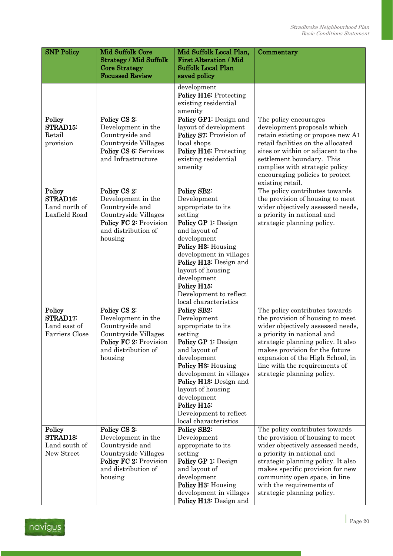| <b>SNP Policy</b>                                        | <b>Mid Suffolk Core</b><br><b>Strategy / Mid Suffolk</b><br><b>Core Strategy</b><br><b>Focussed Review</b>                                | Mid Suffolk Local Plan,<br><b>First Alteration / Mid</b><br><b>Suffolk Local Plan</b><br>saved policy                                                                                                                                                                                               | Commentary                                                                                                                                                                                                                                                                                                       |
|----------------------------------------------------------|-------------------------------------------------------------------------------------------------------------------------------------------|-----------------------------------------------------------------------------------------------------------------------------------------------------------------------------------------------------------------------------------------------------------------------------------------------------|------------------------------------------------------------------------------------------------------------------------------------------------------------------------------------------------------------------------------------------------------------------------------------------------------------------|
|                                                          |                                                                                                                                           | development<br>Policy H16: Protecting<br>existing residential<br>amenity                                                                                                                                                                                                                            |                                                                                                                                                                                                                                                                                                                  |
| Policy<br>STRAD15:<br>Retail<br>provision                | Policy CS 2:<br>Development in the<br>Countryside and<br>Countryside Villages<br>Policy CS 6: Services<br>and Infrastructure              | Policy GP1: Design and<br>layout of development<br>Policy S7: Provision of<br>local shops<br>Policy H16: Protecting<br>existing residential<br>amenity                                                                                                                                              | The policy encourages<br>development proposals which<br>retain existing or propose new A1<br>retail facilities on the allocated<br>sites or within or adjacent to the<br>settlement boundary. This<br>complies with strategic policy<br>encouraging policies to protect<br>existing retail.                      |
| Policy<br>STRAD16:<br>Land north of<br>Laxfield Road     | Policy CS 2:<br>Development in the<br>Countryside and<br>Countryside Villages<br>Policy FC 2: Provision<br>and distribution of<br>housing | Policy SB2:<br>Development<br>appropriate to its<br>setting<br>Policy GP 1: Design<br>and layout of<br>development<br>Policy H3: Housing<br>development in villages<br>Policy H13: Design and<br>layout of housing<br>development<br>Policy H15:<br>Development to reflect<br>local characteristics | The policy contributes towards<br>the provision of housing to meet<br>wider objectively assessed needs,<br>a priority in national and<br>strategic planning policy.                                                                                                                                              |
| Policy<br>STRAD17:<br>Land east of<br>Farriers Close     | Policy CS 2:<br>Development in the<br>Countryside and<br>Countryside Villages<br>Policy FC 2: Provision<br>and distribution of<br>housing | Policy SB2:<br>Development<br>appropriate to its<br>setting<br>Policy GP 1: Design<br>and layout of<br>development<br>Policy H3: Housing<br>development in villages<br>Policy H13: Design and<br>layout of housing<br>development<br>Policy H15:<br>Development to reflect<br>local characteristics | The policy contributes towards<br>the provision of housing to meet<br>wider objectively assessed needs,<br>a priority in national and<br>strategic planning policy. It also<br>makes provision for the future<br>expansion of the High School, in<br>line with the requirements of<br>strategic planning policy. |
| Policy<br><b>STRAD18:</b><br>Land south of<br>New Street | Policy CS 2:<br>Development in the<br>Countryside and<br>Countryside Villages<br>Policy FC 2: Provision<br>and distribution of<br>housing | Policy SB2:<br>Development<br>appropriate to its<br>setting<br>Policy GP 1: Design<br>and layout of<br>development<br>Policy H3: Housing<br>development in villages<br>Policy H13: Design and                                                                                                       | The policy contributes towards<br>the provision of housing to meet<br>wider objectively assessed needs,<br>a priority in national and<br>strategic planning policy. It also<br>makes specific provision for new<br>community open space, in line<br>with the requirements of<br>strategic planning policy.       |

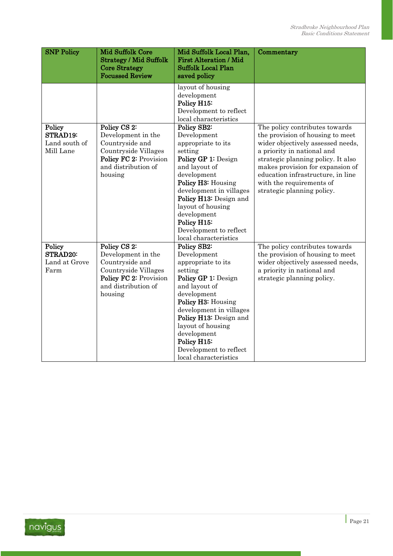| <b>SNP Policy</b>                                | <b>Mid Suffolk Core</b><br><b>Strategy / Mid Suffolk</b><br><b>Core Strategy</b><br><b>Focussed Review</b>                                | Mid Suffolk Local Plan,<br><b>First Alteration / Mid</b><br><b>Suffolk Local Plan</b><br>saved policy                                                                                                                                                                                               | Commentary                                                                                                                                                                                                                                                                                                     |
|--------------------------------------------------|-------------------------------------------------------------------------------------------------------------------------------------------|-----------------------------------------------------------------------------------------------------------------------------------------------------------------------------------------------------------------------------------------------------------------------------------------------------|----------------------------------------------------------------------------------------------------------------------------------------------------------------------------------------------------------------------------------------------------------------------------------------------------------------|
|                                                  |                                                                                                                                           | layout of housing<br>development<br>Policy H15:<br>Development to reflect<br>local characteristics                                                                                                                                                                                                  |                                                                                                                                                                                                                                                                                                                |
| Policy<br>STRAD19:<br>Land south of<br>Mill Lane | Policy CS 2:<br>Development in the<br>Countryside and<br>Countryside Villages<br>Policy FC 2: Provision<br>and distribution of<br>housing | Policy SB2:<br>Development<br>appropriate to its<br>setting<br>Policy GP 1: Design<br>and layout of<br>development<br>Policy H3: Housing<br>development in villages<br>Policy H13: Design and<br>layout of housing<br>development<br>Policy H15:<br>Development to reflect<br>local characteristics | The policy contributes towards<br>the provision of housing to meet<br>wider objectively assessed needs,<br>a priority in national and<br>strategic planning policy. It also<br>makes provision for expansion of<br>education infrastructure, in line<br>with the requirements of<br>strategic planning policy. |
| Policy<br>STRAD20:<br>Land at Grove<br>Farm      | Policy CS 2:<br>Development in the<br>Countryside and<br>Countryside Villages<br>Policy FC 2: Provision<br>and distribution of<br>housing | Policy SB2:<br>Development<br>appropriate to its<br>setting<br>Policy GP 1: Design<br>and layout of<br>development<br>Policy H3: Housing<br>development in villages<br>Policy H13: Design and<br>layout of housing<br>development<br>Policy H15:<br>Development to reflect<br>local characteristics | The policy contributes towards<br>the provision of housing to meet<br>wider objectively assessed needs,<br>a priority in national and<br>strategic planning policy.                                                                                                                                            |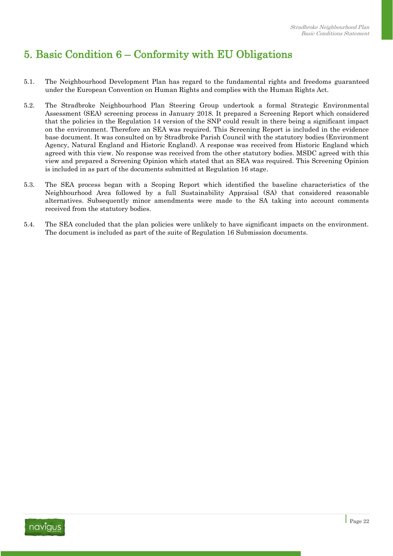## <span id="page-21-0"></span>5. Basic Condition 6 – Conformity with EU Obligations

- 5.1. The Neighbourhood Development Plan has regard to the fundamental rights and freedoms guaranteed under the European Convention on Human Rights and complies with the Human Rights Act.
- 5.2. The Stradbroke Neighbourhood Plan Steering Group undertook a formal Strategic Environmental Assessment (SEA) screening process in January 2018. It prepared a Screening Report which considered that the policies in the Regulation 14 version of the SNP could result in there being a significant impact on the environment. Therefore an SEA was required. This Screening Report is included in the evidence base document. It was consulted on by Stradbroke Parish Council with the statutory bodies (Environment Agency, Natural England and Historic England). A response was received from Historic England which agreed with this view. No response was received from the other statutory bodies. MSDC agreed with this view and prepared a Screening Opinion which stated that an SEA was required. This Screening Opinion is included in as part of the documents submitted at Regulation 16 stage.
- 5.3. The SEA process began with a Scoping Report which identified the baseline characteristics of the Neighbourhood Area followed by a full Sustainability Appraisal (SA) that considered reasonable alternatives. Subsequently minor amendments were made to the SA taking into account comments received from the statutory bodies.
- 5.4. The SEA concluded that the plan policies were unlikely to have significant impacts on the environment. The document is included as part of the suite of Regulation 16 Submission documents.

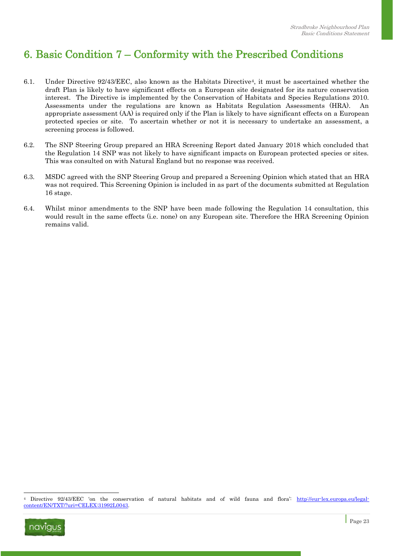### <span id="page-22-0"></span>6. Basic Condition 7 – Conformity with the Prescribed Conditions

- 6.1. Under Directive 92/43/EEC, also known as the Habitats Directive4, it must be ascertained whether the draft Plan is likely to have significant effects on a European site designated for its nature conservation interest. The Directive is implemented by the Conservation of Habitats and Species Regulations 2010. Assessments under the regulations are known as Habitats Regulation Assessments (HRA). An appropriate assessment (AA) is required only if the Plan is likely to have significant effects on a European protected species or site. To ascertain whether or not it is necessary to undertake an assessment, a screening process is followed.
- 6.2. The SNP Steering Group prepared an HRA Screening Report dated January 2018 which concluded that the Regulation 14 SNP was not likely to have significant impacts on European protected species or sites. This was consulted on with Natural England but no response was received.
- 6.3. MSDC agreed with the SNP Steering Group and prepared a Screening Opinion which stated that an HRA was not required. This Screening Opinion is included in as part of the documents submitted at Regulation 16 stage.
- 6.4. Whilst minor amendments to the SNP have been made following the Regulation 14 consultation, this would result in the same effects (i.e. none) on any European site. Therefore the HRA Screening Opinion remains valid.

Directive 92/43/EEC 'on the conservation of natural habitats and of wild fauna and flora': [http://eur-lex.europa.eu/legal](http://eur-lex.europa.eu/legal-content/EN/TXT/?uri=CELEX%3A31992L0043)[content/EN/TXT/?uri=CELEX:31992L0043.](http://eur-lex.europa.eu/legal-content/EN/TXT/?uri=CELEX%3A31992L0043)



 $\overline{a}$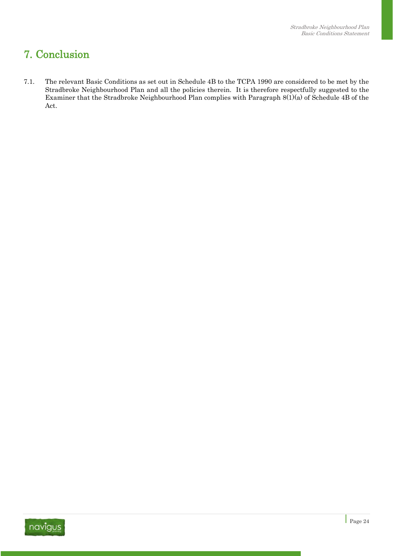## <span id="page-23-0"></span>7. Conclusion

7.1. The relevant Basic Conditions as set out in Schedule 4B to the TCPA 1990 are considered to be met by the Stradbroke Neighbourhood Plan and all the policies therein. It is therefore respectfully suggested to the Examiner that the Stradbroke Neighbourhood Plan complies with Paragraph 8(1)(a) of Schedule 4B of the Act.